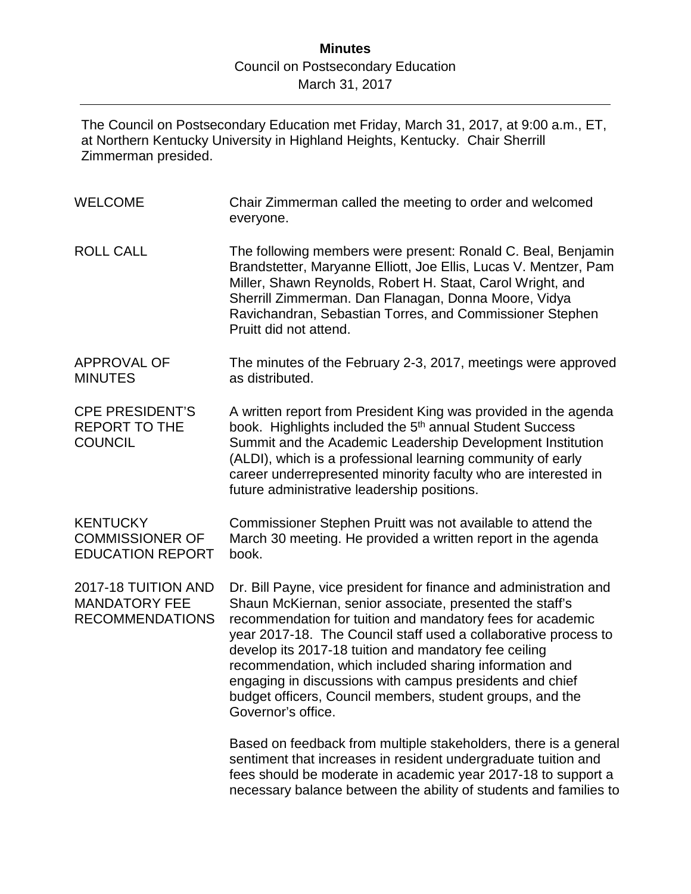The Council on Postsecondary Education met Friday, March 31, 2017, at 9:00 a.m., ET, at Northern Kentucky University in Highland Heights, Kentucky. Chair Sherrill Zimmerman presided.

| <b>WELCOME</b>                                                        | Chair Zimmerman called the meeting to order and welcomed<br>everyone.                                                                                                                                                                                                                                                                                                                                                                                                                                                            |
|-----------------------------------------------------------------------|----------------------------------------------------------------------------------------------------------------------------------------------------------------------------------------------------------------------------------------------------------------------------------------------------------------------------------------------------------------------------------------------------------------------------------------------------------------------------------------------------------------------------------|
| <b>ROLL CALL</b>                                                      | The following members were present: Ronald C. Beal, Benjamin<br>Brandstetter, Maryanne Elliott, Joe Ellis, Lucas V. Mentzer, Pam<br>Miller, Shawn Reynolds, Robert H. Staat, Carol Wright, and<br>Sherrill Zimmerman. Dan Flanagan, Donna Moore, Vidya<br>Ravichandran, Sebastian Torres, and Commissioner Stephen<br>Pruitt did not attend.                                                                                                                                                                                     |
| <b>APPROVAL OF</b><br><b>MINUTES</b>                                  | The minutes of the February 2-3, 2017, meetings were approved<br>as distributed.                                                                                                                                                                                                                                                                                                                                                                                                                                                 |
| <b>CPE PRESIDENT'S</b><br><b>REPORT TO THE</b><br><b>COUNCIL</b>      | A written report from President King was provided in the agenda<br>book. Highlights included the 5 <sup>th</sup> annual Student Success<br>Summit and the Academic Leadership Development Institution<br>(ALDI), which is a professional learning community of early<br>career underrepresented minority faculty who are interested in<br>future administrative leadership positions.                                                                                                                                            |
| <b>KENTUCKY</b><br><b>COMMISSIONER OF</b><br><b>EDUCATION REPORT</b>  | Commissioner Stephen Pruitt was not available to attend the<br>March 30 meeting. He provided a written report in the agenda<br>book.                                                                                                                                                                                                                                                                                                                                                                                             |
| 2017-18 TUITION AND<br><b>MANDATORY FEE</b><br><b>RECOMMENDATIONS</b> | Dr. Bill Payne, vice president for finance and administration and<br>Shaun McKiernan, senior associate, presented the staff's<br>recommendation for tuition and mandatory fees for academic<br>year 2017-18. The Council staff used a collaborative process to<br>develop its 2017-18 tuition and mandatory fee ceiling<br>recommendation, which included sharing information and<br>engaging in discussions with campus presidents and chief<br>budget officers, Council members, student groups, and the<br>Governor's office. |
|                                                                       | Based on feedback from multiple stakeholders, there is a general<br>sentiment that increases in resident undergraduate tuition and<br>fees should be moderate in academic year 2017-18 to support a<br>necessary balance between the ability of students and families to                                                                                                                                                                                                                                                         |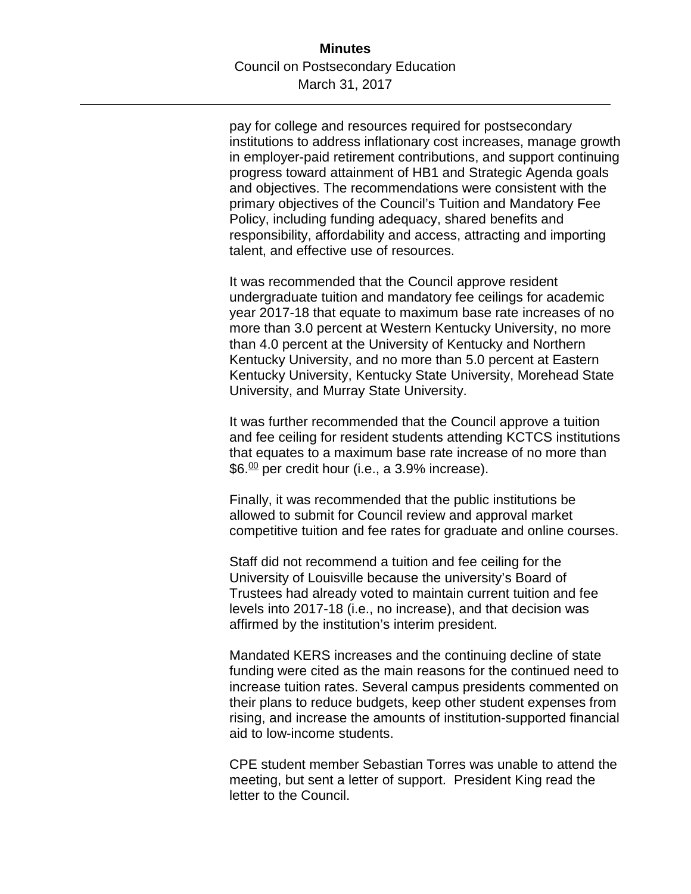pay for college and resources required for postsecondary institutions to address inflationary cost increases, manage growth in employer-paid retirement contributions, and support continuing progress toward attainment of HB1 and Strategic Agenda goals and objectives. The recommendations were consistent with the primary objectives of the Council's Tuition and Mandatory Fee Policy, including funding adequacy, shared benefits and responsibility, affordability and access, attracting and importing talent, and effective use of resources.

It was recommended that the Council approve resident undergraduate tuition and mandatory fee ceilings for academic year 2017-18 that equate to maximum base rate increases of no more than 3.0 percent at Western Kentucky University, no more than 4.0 percent at the University of Kentucky and Northern Kentucky University, and no more than 5.0 percent at Eastern Kentucky University, Kentucky State University, Morehead State University, and Murray State University.

It was further recommended that the Council approve a tuition and fee ceiling for resident students attending KCTCS institutions that equates to a maximum base rate increase of no more than  $$6.\n$ <sup>00</sup> per credit hour (i.e., a 3.9% increase).

Finally, it was recommended that the public institutions be allowed to submit for Council review and approval market competitive tuition and fee rates for graduate and online courses.

Staff did not recommend a tuition and fee ceiling for the University of Louisville because the university's Board of Trustees had already voted to maintain current tuition and fee levels into 2017-18 (i.e., no increase), and that decision was affirmed by the institution's interim president.

Mandated KERS increases and the continuing decline of state funding were cited as the main reasons for the continued need to increase tuition rates. Several campus presidents commented on their plans to reduce budgets, keep other student expenses from rising, and increase the amounts of institution-supported financial aid to low-income students.

CPE student member Sebastian Torres was unable to attend the meeting, but sent a letter of support. President King read the letter to the Council.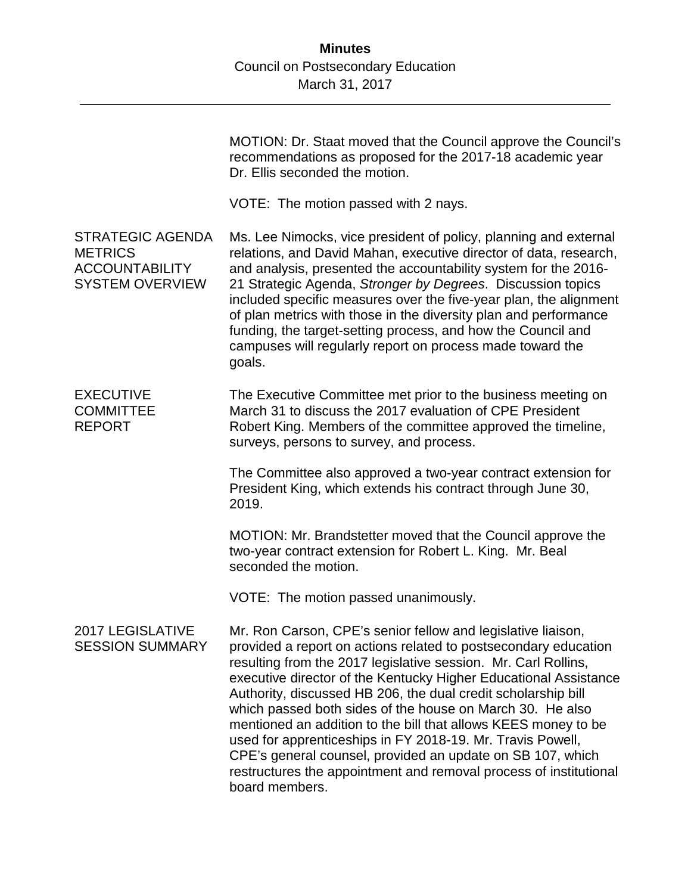|                                                                                              | MOTION: Dr. Staat moved that the Council approve the Council's<br>recommendations as proposed for the 2017-18 academic year<br>Dr. Ellis seconded the motion.                                                                                                                                                                                                                                                                                                                                                                                                                                                                                                                            |
|----------------------------------------------------------------------------------------------|------------------------------------------------------------------------------------------------------------------------------------------------------------------------------------------------------------------------------------------------------------------------------------------------------------------------------------------------------------------------------------------------------------------------------------------------------------------------------------------------------------------------------------------------------------------------------------------------------------------------------------------------------------------------------------------|
|                                                                                              | VOTE: The motion passed with 2 nays.                                                                                                                                                                                                                                                                                                                                                                                                                                                                                                                                                                                                                                                     |
| <b>STRATEGIC AGENDA</b><br><b>METRICS</b><br><b>ACCOUNTABILITY</b><br><b>SYSTEM OVERVIEW</b> | Ms. Lee Nimocks, vice president of policy, planning and external<br>relations, and David Mahan, executive director of data, research,<br>and analysis, presented the accountability system for the 2016-<br>21 Strategic Agenda, Stronger by Degrees. Discussion topics<br>included specific measures over the five-year plan, the alignment<br>of plan metrics with those in the diversity plan and performance<br>funding, the target-setting process, and how the Council and<br>campuses will regularly report on process made toward the<br>goals.                                                                                                                                  |
| <b>EXECUTIVE</b><br><b>COMMITTEE</b><br><b>REPORT</b>                                        | The Executive Committee met prior to the business meeting on<br>March 31 to discuss the 2017 evaluation of CPE President<br>Robert King. Members of the committee approved the timeline,<br>surveys, persons to survey, and process.                                                                                                                                                                                                                                                                                                                                                                                                                                                     |
|                                                                                              | The Committee also approved a two-year contract extension for<br>President King, which extends his contract through June 30,<br>2019.                                                                                                                                                                                                                                                                                                                                                                                                                                                                                                                                                    |
|                                                                                              | MOTION: Mr. Brandstetter moved that the Council approve the<br>two-year contract extension for Robert L. King. Mr. Beal<br>seconded the motion.                                                                                                                                                                                                                                                                                                                                                                                                                                                                                                                                          |
|                                                                                              | VOTE: The motion passed unanimously.                                                                                                                                                                                                                                                                                                                                                                                                                                                                                                                                                                                                                                                     |
| 2017 LEGISLATIVE<br><b>SESSION SUMMARY</b>                                                   | Mr. Ron Carson, CPE's senior fellow and legislative liaison,<br>provided a report on actions related to postsecondary education<br>resulting from the 2017 legislative session. Mr. Carl Rollins,<br>executive director of the Kentucky Higher Educational Assistance<br>Authority, discussed HB 206, the dual credit scholarship bill<br>which passed both sides of the house on March 30. He also<br>mentioned an addition to the bill that allows KEES money to be<br>used for apprenticeships in FY 2018-19. Mr. Travis Powell,<br>CPE's general counsel, provided an update on SB 107, which<br>restructures the appointment and removal process of institutional<br>board members. |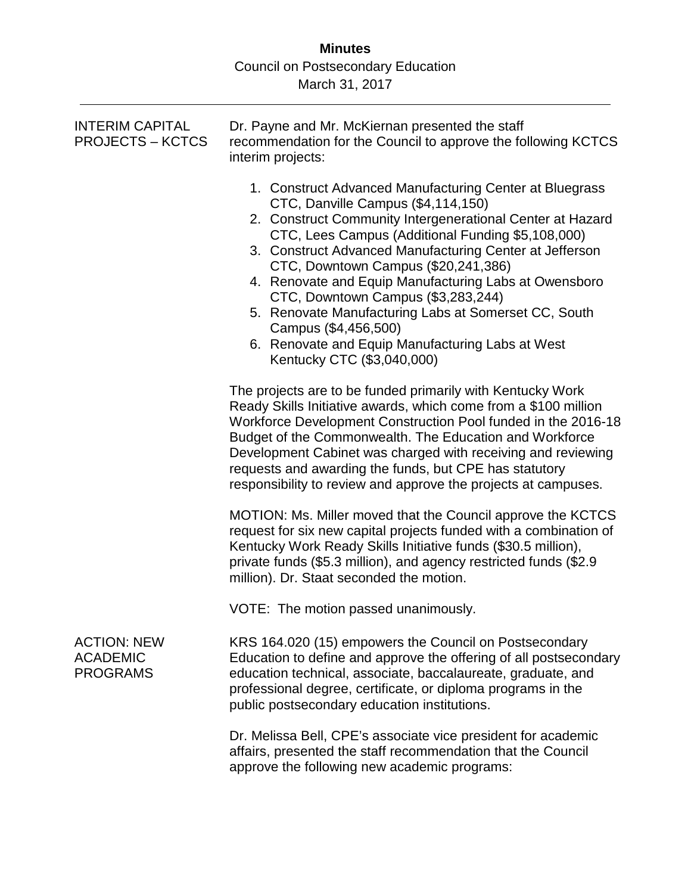| <b>INTERIM CAPITAL</b><br><b>PROJECTS – KCTCS</b>        | Dr. Payne and Mr. McKiernan presented the staff<br>recommendation for the Council to approve the following KCTCS<br>interim projects:                                                                                                                                                                                                                                                                                                                                                                                                                                              |  |  |  |  |
|----------------------------------------------------------|------------------------------------------------------------------------------------------------------------------------------------------------------------------------------------------------------------------------------------------------------------------------------------------------------------------------------------------------------------------------------------------------------------------------------------------------------------------------------------------------------------------------------------------------------------------------------------|--|--|--|--|
|                                                          | 1. Construct Advanced Manufacturing Center at Bluegrass<br>CTC, Danville Campus (\$4,114,150)<br>2. Construct Community Intergenerational Center at Hazard<br>CTC, Lees Campus (Additional Funding \$5,108,000)<br>3. Construct Advanced Manufacturing Center at Jefferson<br>CTC, Downtown Campus (\$20,241,386)<br>4. Renovate and Equip Manufacturing Labs at Owensboro<br>CTC, Downtown Campus (\$3,283,244)<br>5. Renovate Manufacturing Labs at Somerset CC, South<br>Campus (\$4,456,500)<br>6. Renovate and Equip Manufacturing Labs at West<br>Kentucky CTC (\$3,040,000) |  |  |  |  |
|                                                          | The projects are to be funded primarily with Kentucky Work<br>Ready Skills Initiative awards, which come from a \$100 million<br>Workforce Development Construction Pool funded in the 2016-18<br>Budget of the Commonwealth. The Education and Workforce<br>Development Cabinet was charged with receiving and reviewing<br>requests and awarding the funds, but CPE has statutory<br>responsibility to review and approve the projects at campuses.                                                                                                                              |  |  |  |  |
|                                                          | MOTION: Ms. Miller moved that the Council approve the KCTCS<br>request for six new capital projects funded with a combination of<br>Kentucky Work Ready Skills Initiative funds (\$30.5 million),<br>private funds (\$5.3 million), and agency restricted funds (\$2.9<br>million). Dr. Staat seconded the motion.                                                                                                                                                                                                                                                                 |  |  |  |  |
|                                                          | VOTE: The motion passed unanimously.                                                                                                                                                                                                                                                                                                                                                                                                                                                                                                                                               |  |  |  |  |
| <b>ACTION: NEW</b><br><b>ACADEMIC</b><br><b>PROGRAMS</b> | KRS 164.020 (15) empowers the Council on Postsecondary<br>Education to define and approve the offering of all postsecondary<br>education technical, associate, baccalaureate, graduate, and<br>professional degree, certificate, or diploma programs in the<br>public postsecondary education institutions.                                                                                                                                                                                                                                                                        |  |  |  |  |
|                                                          | Dr. Melissa Bell, CPE's associate vice president for academic<br>affairs, presented the staff recommendation that the Council<br>approve the following new academic programs:                                                                                                                                                                                                                                                                                                                                                                                                      |  |  |  |  |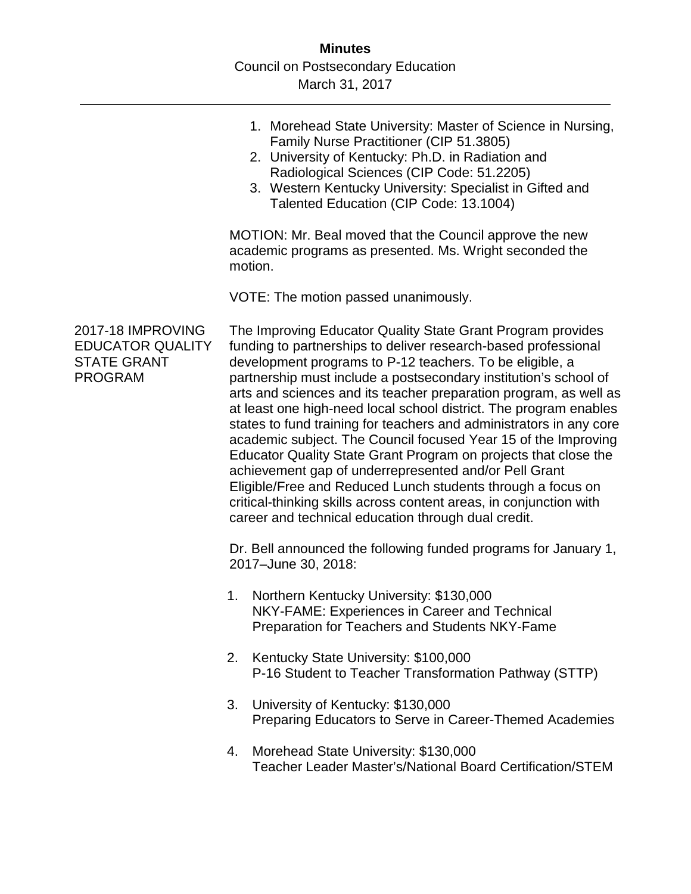|                                                                                      |                                                                                                                                                                                                                                                                                                                                                                                                                                                                                                                                                                                                                                                                                                                                                                                                                                                                          | 1. Morehead State University: Master of Science in Nursing,<br>Family Nurse Practitioner (CIP 51.3805)<br>2. University of Kentucky: Ph.D. in Radiation and<br>Radiological Sciences (CIP Code: 51.2205)<br>3. Western Kentucky University: Specialist in Gifted and<br>Talented Education (CIP Code: 13.1004) |  |  |  |  |
|--------------------------------------------------------------------------------------|--------------------------------------------------------------------------------------------------------------------------------------------------------------------------------------------------------------------------------------------------------------------------------------------------------------------------------------------------------------------------------------------------------------------------------------------------------------------------------------------------------------------------------------------------------------------------------------------------------------------------------------------------------------------------------------------------------------------------------------------------------------------------------------------------------------------------------------------------------------------------|----------------------------------------------------------------------------------------------------------------------------------------------------------------------------------------------------------------------------------------------------------------------------------------------------------------|--|--|--|--|
|                                                                                      | MOTION: Mr. Beal moved that the Council approve the new<br>academic programs as presented. Ms. Wright seconded the<br>motion.                                                                                                                                                                                                                                                                                                                                                                                                                                                                                                                                                                                                                                                                                                                                            |                                                                                                                                                                                                                                                                                                                |  |  |  |  |
|                                                                                      |                                                                                                                                                                                                                                                                                                                                                                                                                                                                                                                                                                                                                                                                                                                                                                                                                                                                          | VOTE: The motion passed unanimously.                                                                                                                                                                                                                                                                           |  |  |  |  |
| 2017-18 IMPROVING<br><b>EDUCATOR QUALITY</b><br><b>STATE GRANT</b><br><b>PROGRAM</b> | The Improving Educator Quality State Grant Program provides<br>funding to partnerships to deliver research-based professional<br>development programs to P-12 teachers. To be eligible, a<br>partnership must include a postsecondary institution's school of<br>arts and sciences and its teacher preparation program, as well as<br>at least one high-need local school district. The program enables<br>states to fund training for teachers and administrators in any core<br>academic subject. The Council focused Year 15 of the Improving<br>Educator Quality State Grant Program on projects that close the<br>achievement gap of underrepresented and/or Pell Grant<br>Eligible/Free and Reduced Lunch students through a focus on<br>critical-thinking skills across content areas, in conjunction with<br>career and technical education through dual credit. |                                                                                                                                                                                                                                                                                                                |  |  |  |  |
|                                                                                      |                                                                                                                                                                                                                                                                                                                                                                                                                                                                                                                                                                                                                                                                                                                                                                                                                                                                          | Dr. Bell announced the following funded programs for January 1,<br>2017-June 30, 2018:                                                                                                                                                                                                                         |  |  |  |  |
|                                                                                      | 1.                                                                                                                                                                                                                                                                                                                                                                                                                                                                                                                                                                                                                                                                                                                                                                                                                                                                       | Northern Kentucky University: \$130,000<br>NKY-FAME: Experiences in Career and Technical<br>Preparation for Teachers and Students NKY-Fame                                                                                                                                                                     |  |  |  |  |
|                                                                                      | 2.                                                                                                                                                                                                                                                                                                                                                                                                                                                                                                                                                                                                                                                                                                                                                                                                                                                                       | Kentucky State University: \$100,000<br>P-16 Student to Teacher Transformation Pathway (STTP)                                                                                                                                                                                                                  |  |  |  |  |
|                                                                                      | 3.                                                                                                                                                                                                                                                                                                                                                                                                                                                                                                                                                                                                                                                                                                                                                                                                                                                                       | University of Kentucky: \$130,000<br>Preparing Educators to Serve in Career-Themed Academies                                                                                                                                                                                                                   |  |  |  |  |
|                                                                                      | 4.                                                                                                                                                                                                                                                                                                                                                                                                                                                                                                                                                                                                                                                                                                                                                                                                                                                                       | Morehead State University: \$130,000<br>Teacher Leader Master's/National Board Certification/STEM                                                                                                                                                                                                              |  |  |  |  |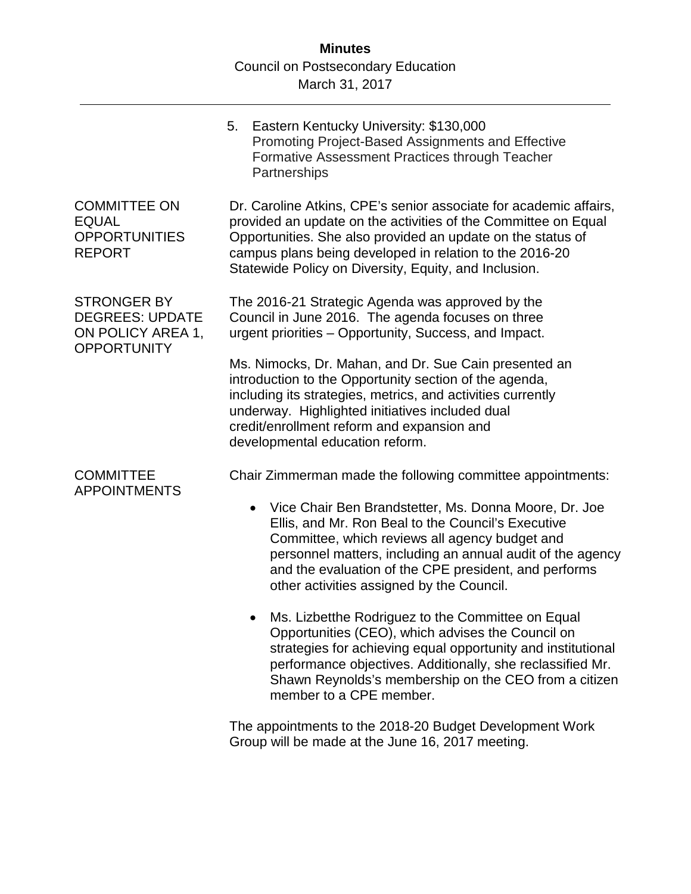|                                                                                         | 5.                                                                                                                                                                                                                                                                                                                     | Eastern Kentucky University: \$130,000<br>Promoting Project-Based Assignments and Effective<br>Formative Assessment Practices through Teacher<br>Partnerships                                                                                                                                                                                                                                                |  |  |  |
|-----------------------------------------------------------------------------------------|------------------------------------------------------------------------------------------------------------------------------------------------------------------------------------------------------------------------------------------------------------------------------------------------------------------------|--------------------------------------------------------------------------------------------------------------------------------------------------------------------------------------------------------------------------------------------------------------------------------------------------------------------------------------------------------------------------------------------------------------|--|--|--|
| <b>COMMITTEE ON</b><br><b>EQUAL</b><br><b>OPPORTUNITIES</b><br><b>REPORT</b>            | Dr. Caroline Atkins, CPE's senior associate for academic affairs,<br>provided an update on the activities of the Committee on Equal<br>Opportunities. She also provided an update on the status of<br>campus plans being developed in relation to the 2016-20<br>Statewide Policy on Diversity, Equity, and Inclusion. |                                                                                                                                                                                                                                                                                                                                                                                                              |  |  |  |
| <b>STRONGER BY</b><br><b>DEGREES: UPDATE</b><br>ON POLICY AREA 1,<br><b>OPPORTUNITY</b> | The 2016-21 Strategic Agenda was approved by the<br>Council in June 2016. The agenda focuses on three<br>urgent priorities - Opportunity, Success, and Impact.                                                                                                                                                         |                                                                                                                                                                                                                                                                                                                                                                                                              |  |  |  |
|                                                                                         | Ms. Nimocks, Dr. Mahan, and Dr. Sue Cain presented an<br>introduction to the Opportunity section of the agenda,<br>including its strategies, metrics, and activities currently<br>underway. Highlighted initiatives included dual<br>credit/enrollment reform and expansion and<br>developmental education reform.     |                                                                                                                                                                                                                                                                                                                                                                                                              |  |  |  |
| <b>COMMITTEE</b><br><b>APPOINTMENTS</b>                                                 |                                                                                                                                                                                                                                                                                                                        | Chair Zimmerman made the following committee appointments:<br>Vice Chair Ben Brandstetter, Ms. Donna Moore, Dr. Joe<br>$\bullet$<br>Ellis, and Mr. Ron Beal to the Council's Executive<br>Committee, which reviews all agency budget and<br>personnel matters, including an annual audit of the agency<br>and the evaluation of the CPE president, and performs<br>other activities assigned by the Council. |  |  |  |
|                                                                                         |                                                                                                                                                                                                                                                                                                                        | Ms. Lizbetthe Rodriguez to the Committee on Equal<br>Opportunities (CEO), which advises the Council on<br>strategies for achieving equal opportunity and institutional<br>performance objectives. Additionally, she reclassified Mr.<br>Shawn Reynolds's membership on the CEO from a citizen<br>member to a CPE member.                                                                                     |  |  |  |
|                                                                                         |                                                                                                                                                                                                                                                                                                                        | The appointments to the 2018-20 Budget Development Work                                                                                                                                                                                                                                                                                                                                                      |  |  |  |

The appointments to the 2018-20 Budget Development Work Group will be made at the June 16, 2017 meeting.